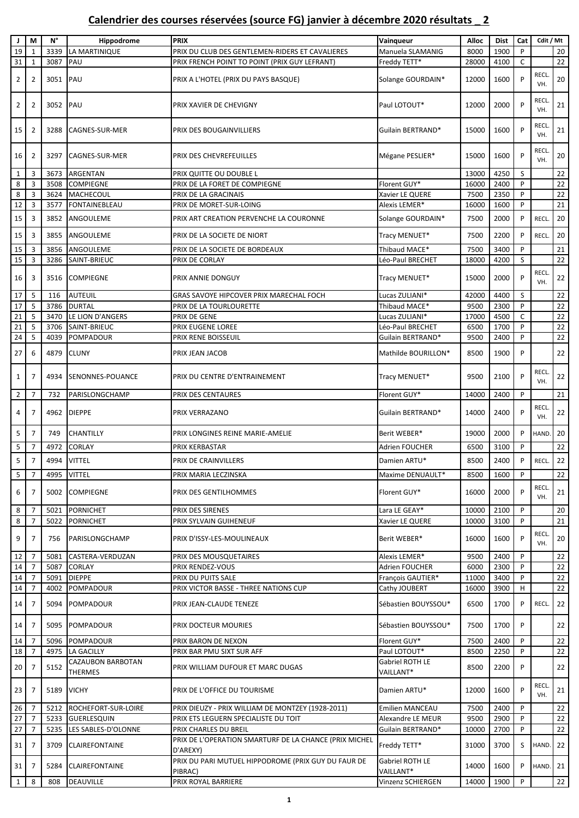## **Calendrier des courses réservées (source FG) janvier à décembre 2020 résultats \_ 2**

| J              | M              | $N^{\circ}$ | Hippodrome                          | <b>PRIX</b>                                                        | Vainqueur                    | Alloc | <b>Dist</b> | Cat          | Cdit / Mt          |    |
|----------------|----------------|-------------|-------------------------------------|--------------------------------------------------------------------|------------------------------|-------|-------------|--------------|--------------------|----|
| 19             | 1              | 3339        | LA MARTINIQUE                       | PRIX DU CLUB DES GENTLEMEN-RIDERS ET CAVALIERES                    | Manuela SLAMANIG             | 8000  | 1900        | P            |                    | 20 |
| 31             |                | 3087        | PAU                                 |                                                                    | Freddy TETT*                 |       |             | $\mathsf{C}$ |                    | 22 |
|                | $\mathbf{1}$   |             |                                     | PRIX FRENCH POINT TO POINT (PRIX GUY LEFRANT)                      |                              | 28000 | 4100        |              |                    |    |
| $\overline{2}$ | 2              | 3051 PAU    |                                     | PRIX A L'HOTEL (PRIX DU PAYS BASQUE)                               | Solange GOURDAIN*            | 12000 | 1600        | P            | <b>RECL</b><br>VH. | 20 |
| $\overline{2}$ | 2              | 3052 PAU    |                                     | PRIX XAVIER DE CHEVIGNY                                            | Paul LOTOUT*                 | 12000 | 2000        | P            | <b>RECL</b><br>VH. | 21 |
| 15             | 2              | 3288        | <b>CAGNES-SUR-MER</b>               | PRIX DES BOUGAINVILLIERS                                           | Guilain BERTRAND*            | 15000 | 1600        | P            | <b>RECL</b><br>VH. | 21 |
| 16             | 2              | 3297        | CAGNES-SUR-MER                      | PRIX DES CHEVREFEUILLES                                            | Mégane PESLIER*              | 15000 | 1600        | P            | <b>RECL</b><br>VH. | 20 |
| 1              | 3              | 3673        | ARGENTAN                            | PRIX QUITTE OU DOUBLE L                                            |                              | 13000 | 4250        | S            |                    | 22 |
| 8              | 3              | 3508        | <b>COMPIEGNE</b>                    | PRIX DE LA FORET DE COMPIEGNE                                      | Florent GUY*                 | 16000 | 2400        | P            |                    | 22 |
| 8              | 3              | 3624        | MACHECOUL                           | PRIX DE LA GRACINAIS                                               | Xavier LE QUERE              | 7500  | 2350        | P            |                    | 22 |
| 12             | 3              | 3577        | <b>FONTAINEBLEAU</b>                | PRIX DE MORET-SUR-LOING                                            | Alexis LEMER*                | 16000 | 1600        | P            |                    | 21 |
|                |                |             |                                     |                                                                    |                              |       |             |              |                    |    |
| 15             | 3              | 3852        | ANGOULEME                           | PRIX ART CREATION PERVENCHE LA COURONNE                            | Solange GOURDAIN*            | 7500  | 2000        | P<br>P       | <b>RECL</b>        | 20 |
| 15             | 3              | 3855        | ANGOULEME                           | PRIX DE LA SOCIETE DE NIORT                                        | Tracy MENUET*                | 7500  | 2200        |              | <b>RECL</b>        | 20 |
| 15             | 3              | 3856        | ANGOULEME                           | PRIX DE LA SOCIETE DE BORDEAUX                                     | Thibaud MACE*                | 7500  | 3400        | P            |                    | 21 |
| 15             | 3              | 3286        | SAINT-BRIEUC                        | PRIX DE CORLAY                                                     | Léo-Paul BRECHET             | 18000 | 4200        | S            |                    | 22 |
| 16             | 3              | 3516        | <b>COMPIEGNE</b>                    | PRIX ANNIE DONGUY                                                  | Tracy MENUET*                | 15000 | 2000        | P            | <b>RECL</b><br>VH. | 22 |
| 17             | 5              | 116         | <b>AUTEUIL</b>                      | GRAS SAVOYE HIPCOVER PRIX MARECHAL FOCH                            | Lucas ZULIANI*               | 42000 | 4400        | S            |                    | 22 |
| 17             | 5              | 3786        | <b>DURTAL</b>                       | PRIX DE LA TOURLOURETTE                                            | Thibaud MACE*                | 9500  | 2300        | P            |                    | 22 |
|                | 5              |             |                                     |                                                                    |                              |       |             | $\mathsf{C}$ |                    |    |
| 21             |                | 3470        | LE LION D'ANGERS                    | PRIX DE GENE                                                       | Lucas ZULIANI*               | 17000 | 4500        |              |                    | 22 |
| 21             | 5              | 3706        | SAINT-BRIEUC                        | PRIX EUGENE LOREE                                                  | Léo-Paul BRECHET             | 6500  | 1700        | P            |                    | 22 |
| 24             | 5              | 4039        | <b>POMPADOUR</b>                    | PRIX RENE BOISSEUIL                                                | Guilain BERTRAND*            | 9500  | 2400        | P            |                    | 22 |
| 27             | 6              | 4879        | <b>CLUNY</b>                        | PRIX JEAN JACOB                                                    | Mathilde BOURILLON*          | 8500  | 1900        | P            |                    | 22 |
| 1              | $\overline{7}$ | 4934        | SENONNES-POUANCE                    | PRIX DU CENTRE D'ENTRAINEMENT                                      | Tracy MENUET*                | 9500  | 2100        | P            | <b>RECL</b><br>VH. | 22 |
| $\overline{2}$ | 7              | 732         | PARISLONGCHAMP                      | PRIX DES CENTAURES                                                 | Florent GUY*                 | 14000 | 2400        | P            |                    | 21 |
| 4              | 7              | 4962        | <b>DIEPPE</b>                       | PRIX VERRAZANO                                                     | Guilain BERTRAND*            | 14000 | 2400        | P            | <b>RECL</b><br>VH. | 22 |
| 5              | 7              | 749         | CHANTILLY                           | PRIX LONGINES REINE MARIE-AMELIE                                   | Berit WEBER*                 | 19000 | 2000        | P            | <b>HAND</b>        | 20 |
| 5              | 7              | 4972        | <b>CORLAY</b>                       | PRIX KERBASTAR                                                     | Adrien FOUCHER               | 6500  | 3100        | P            |                    | 22 |
| 5              | $\overline{7}$ | 4994        | <b>VITTEL</b>                       | PRIX DE CRAINVILLERS                                               | Damien ARTU*                 | 8500  | 2400        | P            | RECL.              | 22 |
|                |                | 4995        |                                     |                                                                    |                              |       |             | P            |                    |    |
| 5              | 7              |             | <b>VITTEL</b>                       | PRIX MARIA LECZINSKA                                               | Maxime DENUAULT*             | 8500  | 1600        |              |                    | 22 |
| 6              | $\overline{7}$ | 5002        | <b>COMPIEGNE</b>                    | PRIX DES GENTILHOMMES                                              | Florent GUY*                 | 16000 | 2000        | P            | <b>RECL</b><br>VH. | 21 |
| 8              | $\overline{7}$ | 5021        | <b>PORNICHET</b>                    | PRIX DES SIRENES                                                   | Lara LE GEAY*                | 10000 | 2100        | P            |                    | 20 |
| 8              | $\overline{7}$ | 5022        | <b>PORNICHET</b>                    | PRIX SYLVAIN GUIHENEUF                                             | Xavier LE QUERE              | 10000 | 3100        | P            |                    | 21 |
| 9              | $\overline{7}$ | 756         | PARISLONGCHAMP                      | PRIX D'ISSY-LES-MOULINEAUX                                         | Berit WEBER*                 | 16000 | 1600        | P            | <b>RECL</b><br>VH. | 20 |
| 12             | $\overline{7}$ | 5081        | CASTERA-VERDUZAN                    | PRIX DES MOUSQUETAIRES                                             | Alexis LEMER*                | 9500  | 2400        | P            |                    | 22 |
| 14             | $\overline{7}$ | 5087        | <b>CORLAY</b>                       | PRIX RENDEZ-VOUS                                                   | Adrien FOUCHER               | 6000  | 2300        | P            |                    | 22 |
| 14             | $\overline{7}$ | 5091        | <b>DIEPPE</b>                       | PRIX DU PUITS SALE                                                 | François GAUTIER*            | 11000 | 3400        | P            |                    | 22 |
|                |                |             |                                     |                                                                    |                              |       |             |              |                    |    |
| 14             | 7              | 4002        | POMPADOUR                           | PRIX VICTOR BASSE - THREE NATIONS CUP                              | Cathy JOUBERT                | 16000 | 3900        | H            |                    | 22 |
| 14             | 7              | 5094        | POMPADOUR                           | PRIX JEAN-CLAUDE TENEZE                                            | Sébastien BOUYSSOU*          | 6500  | 1700        | P            | RECL.              | 22 |
| 14             | 7              | 5095        | POMPADOUR                           | PRIX DOCTEUR MOURIES                                               | Sébastien BOUYSSOU*          | 7500  | 1700        | P            |                    | 22 |
| 14             | 7              | 5096        | POMPADOUR                           | PRIX BARON DE NEXON                                                | Florent GUY*                 | 7500  | 2400        | P            |                    | 22 |
| 18             | 7              | 4975        | <b>LA GACILLY</b>                   | PRIX BAR PMU SIXT SUR AFF                                          | Paul LOTOUT*                 | 8500  | 2250        | P            |                    | 22 |
| 20             | $\overline{7}$ | 5152        | CAZAUBON BARBOTAN<br><b>THERMES</b> | PRIX WILLIAM DUFOUR ET MARC DUGAS                                  | Gabriel ROTH LE<br>VAILLANT* | 8500  | 2200        | P            |                    | 22 |
| 23             | 7              | 5189        | <b>VICHY</b>                        | PRIX DE L'OFFICE DU TOURISME                                       | Damien ARTU*                 | 12000 | 1600        | P            | <b>RECL</b><br>VH. | 21 |
| 26             | $\overline{7}$ | 5212        | ROCHEFORT-SUR-LOIRE                 | PRIX DIEUZY - PRIX WILLIAM DE MONTZEY (1928-2011)                  | Emilien MANCEAU              | 7500  | 2400        | P            |                    | 22 |
| 27             | $\overline{7}$ | 5233        | GUERLESQUIN                         | PRIX ETS LEGUERN SPECIALISTE DU TOIT                               | Alexandre LE MEUR            | 9500  | 2900        | P            |                    | 22 |
| 27             | $\overline{7}$ | 5235        | LES SABLES-D'OLONNE                 | PRIX CHARLES DU BREIL                                              | Guilain BERTRAND*            | 10000 | 2700        | P            |                    | 22 |
| 31             | 7              | 3709        | <b>CLAIREFONTAINE</b>               | PRIX DE L'OPERATION SMARTURF DE LA CHANCE (PRIX MICHEL<br>D'AREXY) | Freddy TETT*                 | 31000 | 3700        | S            | HAND. 22           |    |
| 31             | 7              | 5284        | <b>CLAIREFONTAINE</b>               | PRIX DU PARI MUTUEL HIPPODROME (PRIX GUY DU FAUR DE<br>PIBRAC)     | Gabriel ROTH LE<br>VAILLANT* | 14000 | 1600        | P            | HAND. 21           |    |
| $\mathbf{1}$   | 8              | 808         | DEAUVILLE                           | PRIX ROYAL BARRIERE                                                | Vinzenz SCHIERGEN            | 14000 | 1900        | P            |                    | 22 |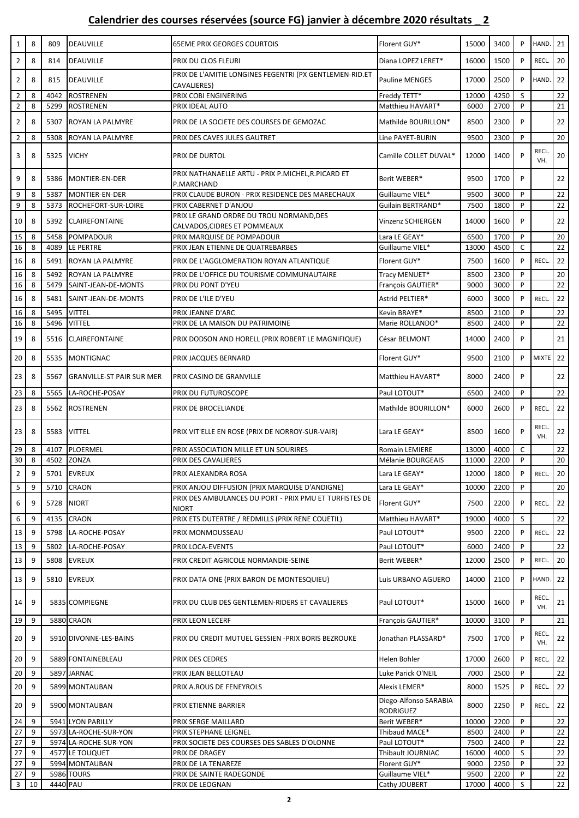## **Calendrier des courses réservées (source FG) janvier à décembre 2020 résultats \_ 2**

| $\mathbf{1}$   | 8      | 809        | <b>DEAUVILLE</b>                         | <b>65EME PRIX GEORGES COURTOIS</b>                                       | Florent GUY*                              | 15000         | 3400         | P      | HAND.              | 21              |
|----------------|--------|------------|------------------------------------------|--------------------------------------------------------------------------|-------------------------------------------|---------------|--------------|--------|--------------------|-----------------|
| $\overline{2}$ | 8      | 814        | <b>DEAUVILLE</b>                         | PRIX DU CLOS FLEURI                                                      | Diana LOPEZ LERET*                        | 16000         | 1500         | P      | RECL.              | 20              |
| $\overline{2}$ | 8      | 815        | <b>DEAUVILLE</b>                         | PRIX DE L'AMITIE LONGINES FEGENTRI (PX GENTLEMEN-RID.ET<br>CAVALIERES)   | <b>Pauline MENGES</b>                     | 17000         | 2500         | P      | HAND.              | 22              |
| $\overline{2}$ | 8      | 4042       | <b>ROSTRENEN</b>                         | PRIX COBI ENGINERING                                                     | Freddy TETT*                              | 12000         | 4250         | S      |                    | 22              |
| $\overline{2}$ | 8      | 5299       | <b>ROSTRENEN</b>                         | PRIX IDEAL AUTO                                                          | Matthieu HAVART*                          | 6000          | 2700         | P      |                    | 21              |
| $\overline{2}$ | 8      | 5307       | ROYAN LA PALMYRE                         | PRIX DE LA SOCIETE DES COURSES DE GEMOZAC                                | Mathilde BOURILLON*                       | 8500          | 2300         | P      |                    | 22              |
| $\overline{2}$ | 8      | 5308       | ROYAN LA PALMYRE                         | PRIX DES CAVES JULES GAUTRET                                             | Line PAYET-BURIN                          | 9500          | 2300         | P      |                    | $\overline{20}$ |
| 3              | 8      | 5325 VICHY |                                          | PRIX DE DURTOL                                                           | Camille COLLET DUVAL*                     | 12000         | 1400         | P      | <b>RECL</b><br>VH. | 20              |
| 9              | 8      | 5386       | MONTIER-EN-DER                           | PRIX NATHANAELLE ARTU - PRIX P.MICHEL, R.PICARD ET<br>P.MARCHAND         | Berit WEBER*                              | 9500          | 1700         | P      |                    | 22              |
| 9              | 8      | 5387       | MONTIER-EN-DER                           | PRIX CLAUDE BURON - PRIX RESIDENCE DES MARECHAUX                         | Guillaume VIEL*                           | 9500          | 3000         | P      |                    | 22              |
| 9              | 8      | 5373       | ROCHEFORT-SUR-LOIRE                      | PRIX CABERNET D'ANJOU                                                    | Guilain BERTRAND*                         | 7500          | 1800         | P      |                    | 22              |
| 10             | 8      | 5392       | <b>CLAIREFONTAINE</b>                    | PRIX LE GRAND ORDRE DU TROU NORMAND, DES<br>CALVADOS, CIDRES ET POMMEAUX | Vinzenz SCHIERGEN                         | 14000         | 1600         | P      |                    | 22              |
| 15             | 8      | 5458       | POMPADOUR                                | PRIX MARQUISE DE POMPADOUR                                               | Lara LE GEAY*                             | 6500          | 1700         | P      |                    | 20              |
| 16             | 8      | 4089       | LE PERTRE                                | PRIX JEAN ETIENNE DE QUATREBARBES                                        | Guillaume VIEL*                           | 13000         | 4500         | C      |                    | 22              |
| 16             | 8      | 5491       | ROYAN LA PALMYRE                         | PRIX DE L'AGGLOMERATION ROYAN ATLANTIQUE                                 | Florent GUY*                              | 7500          | 1600         | P      | RECL.              | 22              |
| 16             | 8      | 5492       | ROYAN LA PALMYRE                         | PRIX DE L'OFFICE DU TOURISME COMMUNAUTAIRE                               | Tracy MENUET*                             | 8500          | 2300         | P      |                    | 20              |
| 16             | 8      | 5479       | SAINT-JEAN-DE-MONTS                      | PRIX DU PONT D'YEU                                                       | François GAUTIER*                         | 9000          | 3000         | P      |                    | 22              |
| 16             | 8      | 5481       | SAINT-JEAN-DE-MONTS                      | PRIX DE L'ILE D'YEU                                                      | Astrid PELTIER*                           | 6000          | 3000         | P      | RECL.              | 22              |
| 16             | 8      | 5495       | <b>VITTEL</b>                            | PRIX JEANNE D'ARC                                                        | Kevin BRAYE*                              | 8500          | 2100         | P      |                    | 22              |
| 16             | 8      | 5496       | <b>VITTEL</b>                            | PRIX DE LA MAISON DU PATRIMOINE                                          | Marie ROLLANDO*                           | 8500          | 2400         | P      |                    | 22              |
| 19             | 8      | 5516       | <b>CLAIREFONTAINE</b>                    | PRIX DODSON AND HORELL (PRIX ROBERT LE MAGNIFIQUE)                       | César BELMONT                             | 14000         | 2400         | P      |                    | 21              |
| 20             | 8      | 5535       | <b>MONTIGNAC</b>                         | PRIX JACQUES BERNARD                                                     | Florent GUY*                              | 9500          | 2100         | P      | <b>MIXTE</b>       | 22              |
| 23             | 8      | 5567       | <b>GRANVILLE-ST PAIR SUR MER</b>         | PRIX CASINO DE GRANVILLE                                                 | Matthieu HAVART*                          | 8000          | 2400         | P      |                    | 22              |
| 23             | 8      | 5565       | LA-ROCHE-POSAY                           | PRIX DU FUTUROSCOPE                                                      | Paul LOTOUT*                              | 6500          | 2400         | P      |                    | 22              |
| 23             | 8      | 5562       | <b>ROSTRENEN</b>                         | PRIX DE BROCELIANDE                                                      | Mathilde BOURILLON*                       | 6000          | 2600         | P      | RECL.              | 22              |
| 23             | 8      | 5583       | <b>VITTEL</b>                            | PRIX VIT'ELLE EN ROSE (PRIX DE NORROY-SUR-VAIR)                          | Lara LE GEAY*                             | 8500          | 1600         | P      | RECL.<br>VH.       | 22              |
| 29             | 8      | 4107       | PLOERMEL                                 | PRIX ASSOCIATION MILLE ET UN SOURIRES                                    | <b>Romain LEMIERE</b>                     | 13000         | 4000         | C      |                    | 22              |
| 30             | 8      | 4502       | <b>ZONZA</b>                             | PRIX DES CAVALIERES                                                      | Mélanie BOURGEAIS                         | 11000         | 2200         | P      |                    | 20              |
| $\overline{2}$ | 9      |            | 5701 EVREUX                              | PRIX ALEXANDRA ROSA                                                      | Lara LE GEAY*                             | 12000         | 1800         | P      | RECL.              | 20              |
| 5              | 9      | 5710       | CRAON                                    | PRIX ANJOU DIFFUSION (PRIX MARQUISE D'ANDIGNE)                           | Lara LE GEAY*                             | 10000         | 2200         | P      |                    | 20              |
| 6              | 9      | 5728       | <b>NIORT</b>                             | PRIX DES AMBULANCES DU PORT - PRIX PMU ET TURFISTES DE<br><b>NIORT</b>   | Florent GUY*                              | 7500          | 2200         | P      | RECL.              | 22              |
| 6              | 9      | 4135       | <b>CRAON</b>                             | PRIX ETS DUTERTRE / REDMILLS (PRIX RENE COUETIL)                         | Matthieu HAVART*                          | 19000         | 4000         | S      |                    | 22              |
| 13             | 9      | 5798       | LA-ROCHE-POSAY                           | PRIX MONMOUSSEAU                                                         | Paul LOTOUT*                              | 9500          | 2200         | P      | RECL.              | 22              |
| 13             | 9      | 5802       | LA-ROCHE-POSAY                           | PRIX LOCA-EVENTS                                                         | Paul LOTOUT*                              | 6000          | 2400         | P      |                    | 22              |
| 13             | 9      | 5808       | <b>EVREUX</b>                            | PRIX CREDIT AGRICOLE NORMANDIE-SEINE                                     | Berit WEBER*                              | 12000         | 2500         | P      | RECL.              | 20              |
| 13             | 9      |            | 5810 EVREUX                              | PRIX DATA ONE (PRIX BARON DE MONTESQUIEU)                                | Luis URBANO AGUERO                        | 14000         | 2100         | P      | HAND.              | 22              |
| 14             | 9      |            | 5835 COMPIEGNE                           | PRIX DU CLUB DES GENTLEMEN-RIDERS ET CAVALIERES                          | Paul LOTOUT*                              | 15000         | 1600         | P      | <b>RECL</b><br>VH. | 21              |
| 19             | 9      |            | 5880 CRAON                               | PRIX LEON LECERF                                                         | François GAUTIER*                         | 10000         | 3100         | P      |                    | 21              |
| 20             | 9      |            | 5910 DIVONNE-LES-BAINS                   | PRIX DU CREDIT MUTUEL GESSIEN -PRIX BORIS BEZROUKE                       | Jonathan PLASSARD*                        | 7500          | 1700         | P      | <b>RECL</b><br>VH. | 22              |
| 20             | 9      |            | 5889 FONTAINEBLEAU                       | PRIX DES CEDRES                                                          | Helen Bohler                              | 17000         | 2600         | P      | RECL.              | 22              |
| 20             | 9      |            | 5897 JARNAC                              | PRIX JEAN BELLOTEAU                                                      | Luke Parick O'NEIL                        | 7000          | 2500         | P      |                    | 22              |
| 20             | 9      |            | 5899 MONTAUBAN                           | PRIX A.ROUS DE FENEYROLS                                                 | Alexis LEMER*                             | 8000          | 1525         | P      | RECL.              | 22              |
| 20             | 9      |            | 5900 MONTAUBAN                           | PRIX ETIENNE BARRIER                                                     | Diego-Alfonso SARABIA<br><b>RODRIGUEZ</b> | 8000          | 2250         | P      | RECL.              | 22              |
| 24             | 9      |            | 5941 LYON PARILLY                        | PRIX SERGE MAILLARD                                                      | Berit WEBER*                              | 10000         | 2200         | P      |                    | 22              |
| 27             | 9      |            | 5973 LA-ROCHE-SUR-YON                    | PRIX STEPHANE LEIGNEL                                                    | Thibaud MACE*                             | 8500          | 2400         | P      |                    | 22              |
| 27<br>27       | 9<br>9 |            | 5974 LA-ROCHE-SUR-YON<br>4577 LE TOUQUET | PRIX SOCIETE DES COURSES DES SABLES D'OLONNE<br>PRIX DE DRAGEY           | Paul LOTOUT*<br>Thibault JOURNIAC         | 7500<br>16000 | 2400<br>4000 | P<br>S |                    | 22<br>22        |
| 27             | 9      |            | 5994 MONTAUBAN                           | PRIX DE LA TENAREZE                                                      | Florent GUY*                              | 9000          | 2250         | P      |                    | 22              |
| 27             | 9      |            | 5986 TOURS                               | PRIX DE SAINTE RADEGONDE                                                 | Guillaume VIEL*                           | 9500          | 2200         | P      |                    | 22              |
| 3              | 10     | 4440 PAU   |                                          | PRIX DE LEOGNAN                                                          | Cathy JOUBERT                             | 17000         | 4000         | S      |                    | 22              |